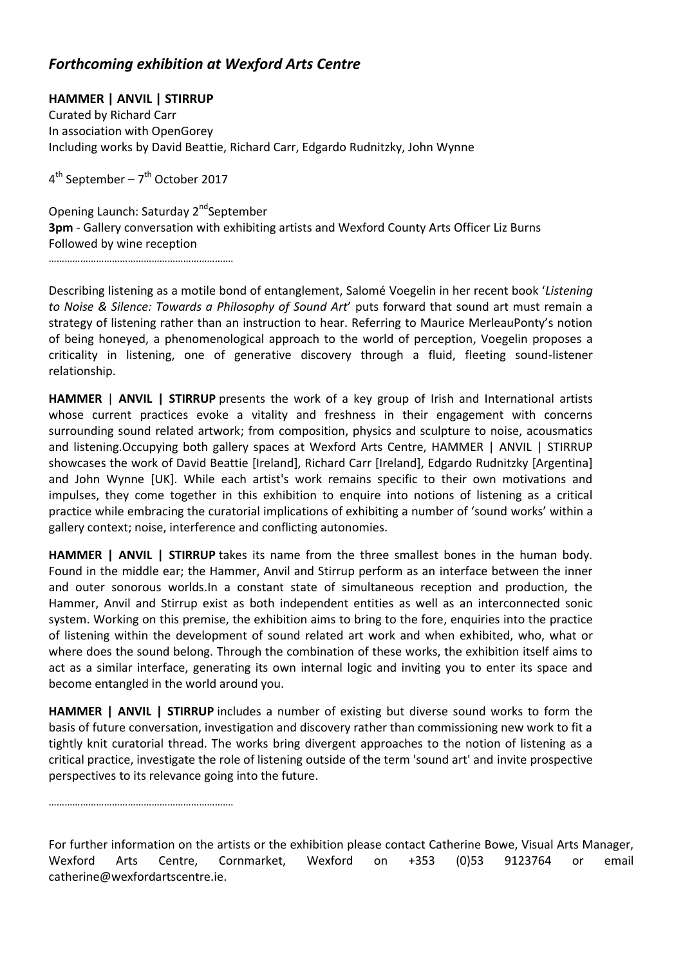## *Forthcoming exhibition at Wexford Arts Centre*

**HAMMER | ANVIL | STIRRUP** Curated by Richard Carr In association with OpenGorey Including works by David Beattie, Richard Carr, Edgardo Rudnitzky, John Wynne

4<sup>th</sup> September – 7<sup>th</sup> October 2017

Opening Launch: Saturday 2<sup>nd</sup>September **3pm** - Gallery conversation with exhibiting artists and Wexford County Arts Officer Liz Burns Followed by wine reception

…………………………………………………………….

Describing listening as a motile bond of entanglement, Salomé Voegelin in her recent book '*Listening to Noise & Silence: Towards a Philosophy of Sound Art*' puts forward that sound art must remain a strategy of listening rather than an instruction to hear. Referring to Maurice MerleauPonty's notion of being honeyed, a phenomenological approach to the world of perception, Voegelin proposes a criticality in listening, one of generative discovery through a fluid, fleeting sound-listener relationship.

**HAMMER** | **ANVIL | STIRRUP** presents the work of a key group of Irish and International artists whose current practices evoke a vitality and freshness in their engagement with concerns surrounding sound related artwork; from composition, physics and sculpture to noise, acousmatics and listening.Occupying both gallery spaces at Wexford Arts Centre, HAMMER | ANVIL | STIRRUP showcases the work of David Beattie [Ireland], Richard Carr [Ireland], Edgardo Rudnitzky [Argentina] and John Wynne [UK]. While each artist's work remains specific to their own motivations and impulses, they come together in this exhibition to enquire into notions of listening as a critical practice while embracing the curatorial implications of exhibiting a number of 'sound works' within a gallery context; noise, interference and conflicting autonomies.

**HAMMER | ANVIL | STIRRUP** takes its name from the three smallest bones in the human body. Found in the middle ear; the Hammer, Anvil and Stirrup perform as an interface between the inner and outer sonorous worlds.In a constant state of simultaneous reception and production, the Hammer, Anvil and Stirrup exist as both independent entities as well as an interconnected sonic system. Working on this premise, the exhibition aims to bring to the fore, enquiries into the practice of listening within the development of sound related art work and when exhibited, who, what or where does the sound belong. Through the combination of these works, the exhibition itself aims to act as a similar interface, generating its own internal logic and inviting you to enter its space and become entangled in the world around you.

**HAMMER | ANVIL | STIRRUP** includes a number of existing but diverse sound works to form the basis of future conversation, investigation and discovery rather than commissioning new work to fit a tightly knit curatorial thread. The works bring divergent approaches to the notion of listening as a critical practice, investigate the role of listening outside of the term 'sound art' and invite prospective perspectives to its relevance going into the future.

…………………………………………………………….

For further information on the artists or the exhibition please contact Catherine Bowe, Visual Arts Manager, Wexford Arts Centre, Cornmarket, Wexford on +353 (0)53 9123764 or email catherine@wexfordartscentre.ie.